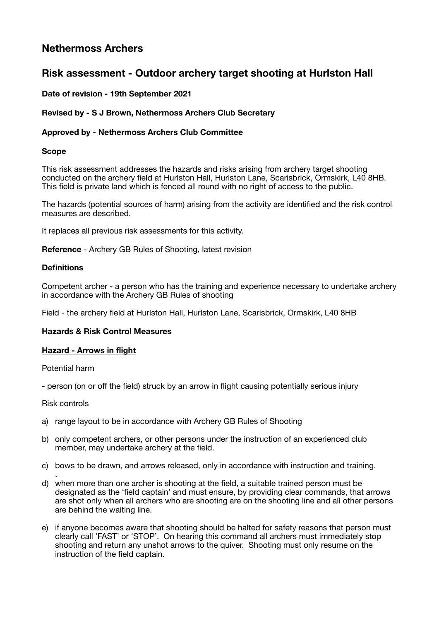# **Nethermoss Archers**

# **Risk assessment - Outdoor archery target shooting at Hurlston Hall**

# **Date of revision - 19th September 2021**

# **Revised by - S J Brown, Nethermoss Archers Club Secretary**

# **Approved by - Nethermoss Archers Club Committee**

# **Scope**

This risk assessment addresses the hazards and risks arising from archery target shooting conducted on the archery field at Hurlston Hall, Hurlston Lane, Scarisbrick, Ormskirk, L40 8HB. This field is private land which is fenced all round with no right of access to the public.

The hazards (potential sources of harm) arising from the activity are identified and the risk control measures are described.

It replaces all previous risk assessments for this activity.

**Reference** - Archery GB Rules of Shooting, latest revision

## **Definitions**

Competent archer - a person who has the training and experience necessary to undertake archery in accordance with the Archery GB Rules of shooting

Field - the archery field at Hurlston Hall, Hurlston Lane, Scarisbrick, Ormskirk, L40 8HB

# **Hazards & Risk Control Measures**

#### **Hazard - Arrows in flight**

Potential harm

- person (on or off the field) struck by an arrow in flight causing potentially serious injury

#### Risk controls

- a) range layout to be in accordance with Archery GB Rules of Shooting
- b) only competent archers, or other persons under the instruction of an experienced club member, may undertake archery at the field.
- c) bows to be drawn, and arrows released, only in accordance with instruction and training.
- . d) when more than one archer is shooting at the field, a suitable trained person must be designated as the 'field captain' and must ensure, by providing clear commands, that arrows are shot only when all archers who are shooting are on the shooting line and all other persons are behind the waiting line.
- e) if anyone becomes aware that shooting should be halted for safety reasons that person must clearly call 'FAST' or 'STOP'. On hearing this command all archers must immediately stop shooting and return any unshot arrows to the quiver. Shooting must only resume on the instruction of the field captain.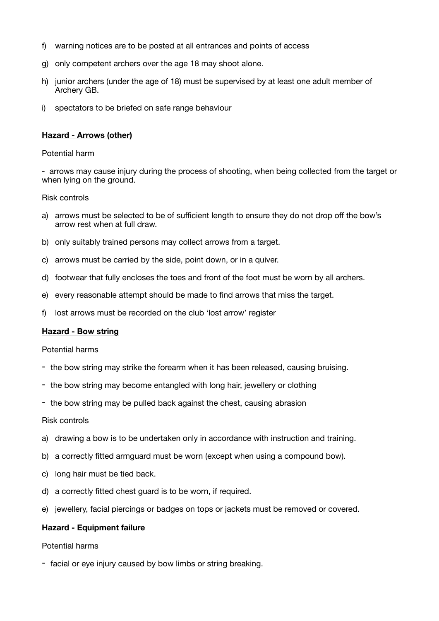- f) warning notices are to be posted at all entrances and points of access
- g) only competent archers over the age 18 may shoot alone.
- h) junior archers (under the age of 18) must be supervised by at least one adult member of Archery GB.
- i) spectators to be briefed on safe range behaviour

# **Hazard - Arrows (other)**

#### Potential harm

- arrows may cause injury during the process of shooting, when being collected from the target or when lying on the ground.

#### Risk controls

- a) arrows must be selected to be of sufficient length to ensure they do not drop off the bow's arrow rest when at full draw.
- b) only suitably trained persons may collect arrows from a target.
- c) arrows must be carried by the side, point down, or in a quiver.
- d) footwear that fully encloses the toes and front of the foot must be worn by all archers.
- e) every reasonable attempt should be made to find arrows that miss the target.
- f) lost arrows must be recorded on the club 'lost arrow' register

#### **Hazard - Bow string**

#### Potential harms

- the bow string may strike the forearm when it has been released, causing bruising.
- the bow string may become entangled with long hair, jewellery or clothing
- the bow string may be pulled back against the chest, causing abrasion

#### Risk controls

- a) drawing a bow is to be undertaken only in accordance with instruction and training.
- b) a correctly fitted armguard must be worn (except when using a compound bow).
- c) long hair must be tied back.
- d) a correctly fitted chest guard is to be worn, if required.
- e) jewellery, facial piercings or badges on tops or jackets must be removed or covered.

#### **Hazard - Equipment failure**

# Potential harms

- facial or eye injury caused by bow limbs or string breaking.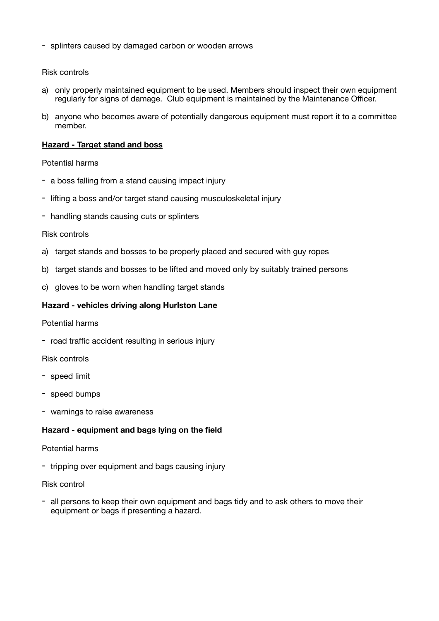- splinters caused by damaged carbon or wooden arrows

## Risk controls

- a) only properly maintained equipment to be used. Members should inspect their own equipment regularly for signs of damage. Club equipment is maintained by the Maintenance Officer.
- b) anyone who becomes aware of potentially dangerous equipment must report it to a committee member.

## **Hazard - Target stand and boss**

#### Potential harms

- a boss falling from a stand causing impact injury
- lifting a boss and/or target stand causing musculoskeletal injury
- handling stands causing cuts or splinters

#### Risk controls

- a) target stands and bosses to be properly placed and secured with guy ropes
- b) target stands and bosses to be lifted and moved only by suitably trained persons
- c) gloves to be worn when handling target stands

## **Hazard - vehicles driving along Hurlston Lane**

Potential harms

- road traffic accident resulting in serious injury

#### Risk controls

- speed limit
- speed bumps
- warnings to raise awareness

# **Hazard - equipment and bags lying on the field**

# Potential harms

- tripping over equipment and bags causing injury

# Risk control

- all persons to keep their own equipment and bags tidy and to ask others to move their equipment or bags if presenting a hazard.